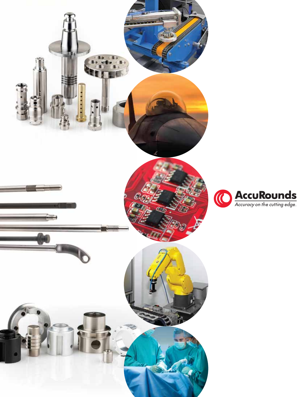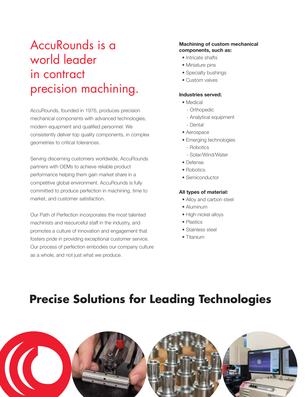# AccuRounds is a world leader in contract precision machining.

AccuRounds, founded in 1976, produces precision mechanical components with advanced technologies, modern equipment and qualified personnel. We consistently deliver top quality components, in complex geometries to critical tolerances.

Serving discerning customers worldwide, AccuRounds partners with OEMs to achieve reliable product performance helping them gain market share in a competitive global environment. AccuRounds is fully committed to produce perfection in machining, time to market, and customer satisfaction.

Our Path of Perfection incorporates the most talented machinists and resourceful staff in the industry, and promotes a culture of innovation and engagement that fosters pride in providing exceptional customer service. Our process of perfection embodies our company culture as a whole, and not just what we produce.

#### **Machining of custom mechanical components, such as:**

- Intricate shafts
- Miniature pins
- Specialty bushings
- Custom valves

#### **Industries served:**

- Medical
	- Orthopedic
	- Analytical equipment
	- Dental
- Aerospace
- Emerging technologies
	- Robotics
	- Solar/Wind/Water
- Defense
- Robotics
- Semiconductor

#### **All types of material:**

- Alloy and carbon steel
- Aluminum
- High-nickel alloys
- Plastics
- Stainless steel
- Titanium

## **Precise Solutions for Leading Technologies**

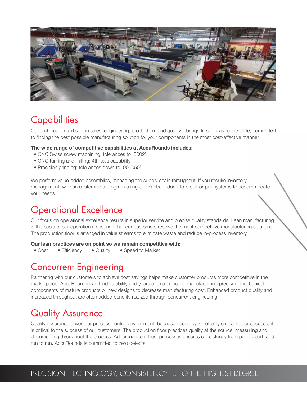

## **Capabilities**

Our technical expertise—in sales, engineering, production, and quality—brings fresh ideas to the table, committed to finding the best possible manufacturing solution for your components in the most cost-effective manner.

#### **The wide range of competitive capabilities at AccuRounds includes:**

- CNC Swiss screw machining: tolerances to .0002"
- CNC turning and milling: 4th-axis capability
- Precision grinding: tolerances down to .000050"

We perform value-added assemblies, managing the supply chain throughout. If you require inventory management, we can customize a program using JIT, Kanban, dock-to-stock or pull systems to accommodate your needs.

### Operational Excellence

Our focus on operational excellence results in superior service and precise quality standards. Lean manufacturing is the basis of our operations, ensuring that our customers receive the most competitive manufacturing solutions. The production floor is arranged in value streams to eliminate waste and reduce in-process inventory.

#### **Our lean practices are on point so we remain competitive with:**

• Cost • Efficiency • Quality • Speed to Market

### Concurrent Engineering

Partnering with our customers to achieve cost savings helps make customer products more competitive in the marketplace. AccuRounds can lend its ability and years of experience in manufacturing precision mechanical components of mature products or new designs to decrease manufacturing cost. Enhanced product quality and increased throughput are often added benefits realized through concurrent engineering.

## Quality Assurance

Quality assurance drives our process control environment, because accuracy is not only critical to our success, it is critical to the success of our customers. The production floor practices quality at the source, measuring and documenting throughout the process. Adherence to robust processes ensures consistency from part to part, and run to run. AccuRounds is committed to zero defects.

#### PRECISION, TECHNOLOGY, CONSISTENCY ... TO THE HIGHEST DEGREE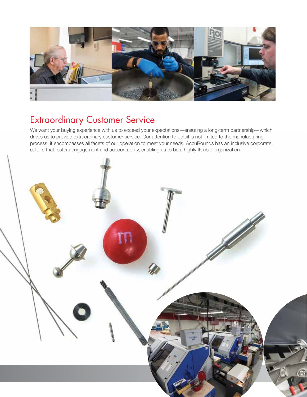

### Extraordinary Customer Service

We want your buying experience with us to exceed your expectations—ensuring a long-term partnership—which drives us to provide extraordinary customer service. Our attention to detail is not limited to the manufacturing process; it encompasses all facets of our operation to meet your needs. AccuRounds has an inclusive corporate culture that fosters engagement and accountability, enabling us to be a highly flexible organization.

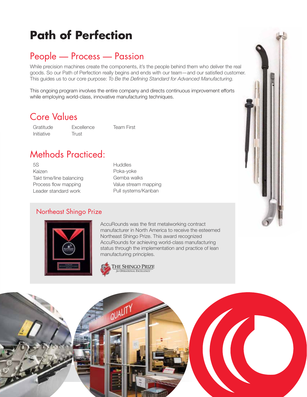# **Path of Perfection**

### People — Process — Passion

While precision machines create the components, it's the people behind them who deliver the real goods. So our Path of Perfection really begins and ends with our team—and our satisfied customer. This guides us to our core purpose: *To Be the Defining Standard for Advanced Manufacturing.* 

This ongoing program involves the entire company and directs continuous improvement efforts while employing world-class, innovative manufacturing techniques.

#### Core Values

Gratitude Initiative

**Excellence Trust** 

Team First

### Methods Practiced:

5S Kaizen Takt time/line balancing Process flow mapping Leader standard work

**Huddles** Poka-yoke Gemba walks Value stream mapping Pull systems/Kanban

#### Northeast Shingo Prize



AccuRounds was the first metalworking contract manufacturer in North America to receive the esteemed Northeast Shingo Prize. This award recognized AccuRounds for achieving world-class manufacturing status through the implementation and practice of lean manufacturing principles.